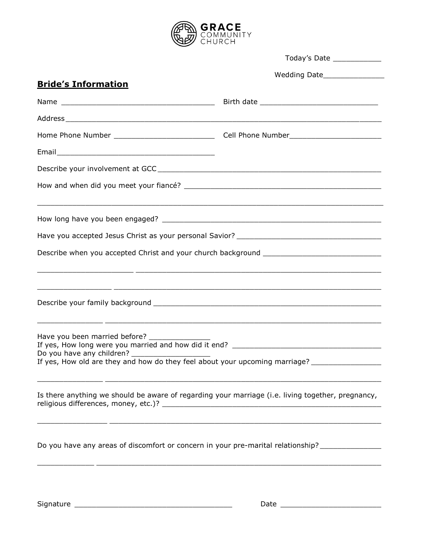

|                                                                                                                                                     | Today's Date _____________                                                                                                                                                                                                |
|-----------------------------------------------------------------------------------------------------------------------------------------------------|---------------------------------------------------------------------------------------------------------------------------------------------------------------------------------------------------------------------------|
|                                                                                                                                                     |                                                                                                                                                                                                                           |
| <b>Bride's Information</b>                                                                                                                          |                                                                                                                                                                                                                           |
|                                                                                                                                                     |                                                                                                                                                                                                                           |
|                                                                                                                                                     |                                                                                                                                                                                                                           |
|                                                                                                                                                     |                                                                                                                                                                                                                           |
|                                                                                                                                                     |                                                                                                                                                                                                                           |
|                                                                                                                                                     |                                                                                                                                                                                                                           |
|                                                                                                                                                     |                                                                                                                                                                                                                           |
|                                                                                                                                                     |                                                                                                                                                                                                                           |
|                                                                                                                                                     |                                                                                                                                                                                                                           |
|                                                                                                                                                     |                                                                                                                                                                                                                           |
|                                                                                                                                                     |                                                                                                                                                                                                                           |
|                                                                                                                                                     |                                                                                                                                                                                                                           |
|                                                                                                                                                     |                                                                                                                                                                                                                           |
| Have you been married before?<br>Do you have any children? _________<br>If yes, How old are they and how do they feel about your upcoming marriage? |                                                                                                                                                                                                                           |
|                                                                                                                                                     | <u> 1999 - 1999 - 1999 - 1999 - 1999 - 1999 - 1999 - 1999 - 1999 - 1999 - 1999 - 1999 - 1999 - 1999 - 1999 - 199</u><br>Is there anything we should be aware of regarding your marriage (i.e. living together, pregnancy, |
|                                                                                                                                                     | Do you have any areas of discomfort or concern in your pre-marital relationship?<br>,我们也不能在这里的时候,我们也不能在这里的时候,我们也不能会在这里的时候,我们也不能会在这里的时候,我们也不能会在这里的时候,我们也不能会在这里的时候,我们也不                                                     |
|                                                                                                                                                     |                                                                                                                                                                                                                           |